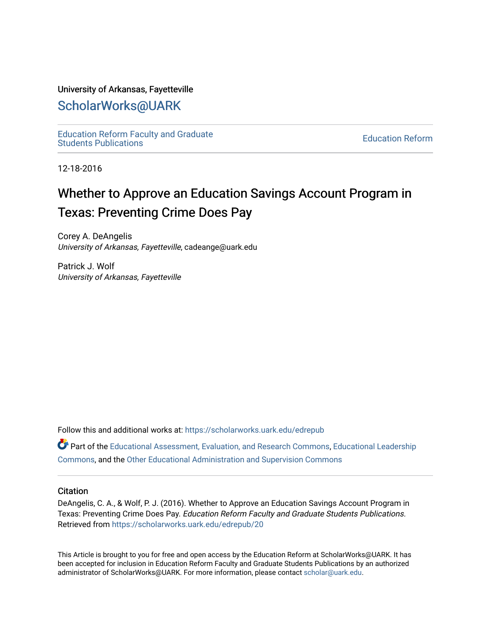### University of Arkansas, Fayetteville

## [ScholarWorks@UARK](https://scholarworks.uark.edu/)

[Education Reform Faculty and Graduate](https://scholarworks.uark.edu/edrepub)  [Education Reform](https://scholarworks.uark.edu/edre) Faculty and Graduate<br>Students Publications

12-18-2016

# Whether to Approve an Education Savings Account Program in Texas: Preventing Crime Does Pay

Corey A. DeAngelis University of Arkansas, Fayetteville, cadeange@uark.edu

Patrick J. Wolf University of Arkansas, Fayetteville

Follow this and additional works at: [https://scholarworks.uark.edu/edrepub](https://scholarworks.uark.edu/edrepub?utm_source=scholarworks.uark.edu%2Fedrepub%2F20&utm_medium=PDF&utm_campaign=PDFCoverPages) 

**Part of the [Educational Assessment, Evaluation, and Research Commons](http://network.bepress.com/hgg/discipline/796?utm_source=scholarworks.uark.edu%2Fedrepub%2F20&utm_medium=PDF&utm_campaign=PDFCoverPages), [Educational Leadership](http://network.bepress.com/hgg/discipline/1230?utm_source=scholarworks.uark.edu%2Fedrepub%2F20&utm_medium=PDF&utm_campaign=PDFCoverPages)** [Commons](http://network.bepress.com/hgg/discipline/1230?utm_source=scholarworks.uark.edu%2Fedrepub%2F20&utm_medium=PDF&utm_campaign=PDFCoverPages), and the [Other Educational Administration and Supervision Commons](http://network.bepress.com/hgg/discipline/794?utm_source=scholarworks.uark.edu%2Fedrepub%2F20&utm_medium=PDF&utm_campaign=PDFCoverPages) 

#### **Citation**

DeAngelis, C. A., & Wolf, P. J. (2016). Whether to Approve an Education Savings Account Program in Texas: Preventing Crime Does Pay. Education Reform Faculty and Graduate Students Publications. Retrieved from [https://scholarworks.uark.edu/edrepub/20](https://scholarworks.uark.edu/edrepub/20?utm_source=scholarworks.uark.edu%2Fedrepub%2F20&utm_medium=PDF&utm_campaign=PDFCoverPages) 

This Article is brought to you for free and open access by the Education Reform at ScholarWorks@UARK. It has been accepted for inclusion in Education Reform Faculty and Graduate Students Publications by an authorized administrator of ScholarWorks@UARK. For more information, please contact [scholar@uark.edu](mailto:scholar@uark.edu).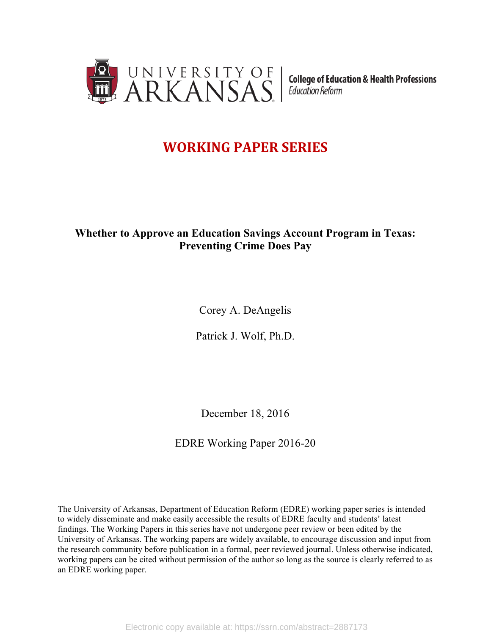

**College of Education & Health Professions** Education Reform

# **WORKING PAPER SERIES**

## **Whether to Approve an Education Savings Account Program in Texas: Preventing Crime Does Pay**

Corey A. DeAngelis

Patrick J. Wolf, Ph.D.

December 18, 2016

EDRE Working Paper 2016-20

The University of Arkansas, Department of Education Reform (EDRE) working paper series is intended to widely disseminate and make easily accessible the results of EDRE faculty and students' latest findings. The Working Papers in this series have not undergone peer review or been edited by the University of Arkansas. The working papers are widely available, to encourage discussion and input from the research community before publication in a formal, peer reviewed journal. Unless otherwise indicated, working papers can be cited without permission of the author so long as the source is clearly referred to as an EDRE working paper.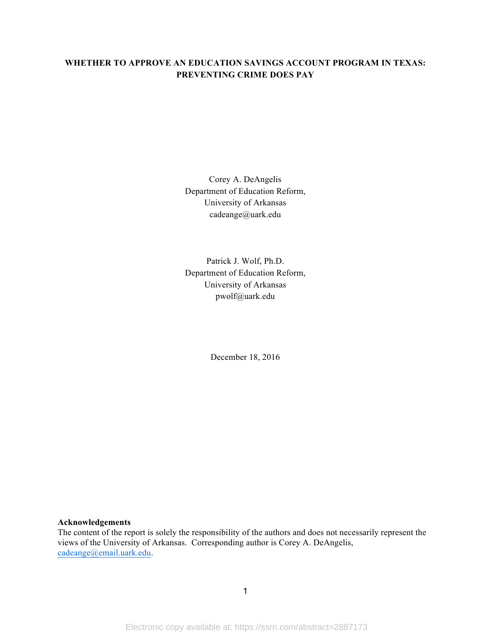## **WHETHER TO APPROVE AN EDUCATION SAVINGS ACCOUNT PROGRAM IN TEXAS: PREVENTING CRIME DOES PAY**

Corey A. DeAngelis Department of Education Reform, University of Arkansas cadeange@uark.edu

Patrick J. Wolf, Ph.D. Department of Education Reform, University of Arkansas pwolf@uark.edu

December 18, 2016

#### **Acknowledgements**

The content of the report is solely the responsibility of the authors and does not necessarily represent the views of the University of Arkansas. Corresponding author is Corey A. DeAngelis, cadeange@email.uark.edu.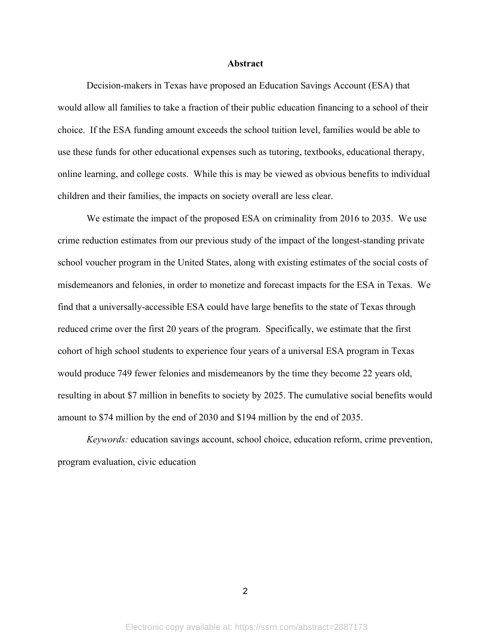#### **Abstract**

Decision-makers in Texas have proposed an Education Savings Account (ESA) that would allow all families to take a fraction of their public education financing to a school of their choice. If the ESA funding amount exceeds the school tuition level, families would be able to use these funds for other educational expenses such as tutoring, textbooks, educational therapy, online learning, and college costs. While this is may be viewed as obvious benefits to individual children and their families, the impacts on society overall are less clear.

We estimate the impact of the proposed ESA on criminality from 2016 to 2035. We use crime reduction estimates from our previous study of the impact of the longest-standing private school voucher program in the United States, along with existing estimates of the social costs of misdemeanors and felonies, in order to monetize and forecast impacts for the ESA in Texas. We find that a universally-accessible ESA could have large benefits to the state of Texas through reduced crime over the first 20 years of the program. Specifically, we estimate that the first cohort of high school students to experience four years of a universal ESA program in Texas would produce 749 fewer felonies and misdemeanors by the time they become 22 years old, resulting in about \$7 million in benefits to society by 2025. The cumulative social benefits would amount to \$74 million by the end of 2030 and \$194 million by the end of 2035.

*Keywords:* education savings account, school choice, education reform, crime prevention, program evaluation, civic education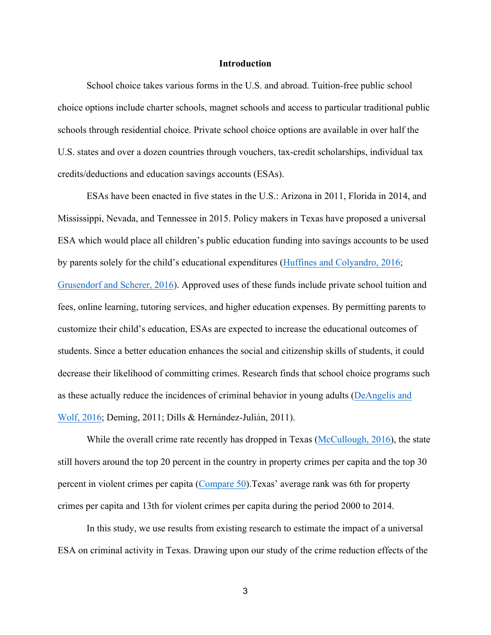#### **Introduction**

School choice takes various forms in the U.S. and abroad. Tuition-free public school choice options include charter schools, magnet schools and access to particular traditional public schools through residential choice. Private school choice options are available in over half the U.S. states and over a dozen countries through vouchers, tax-credit scholarships, individual tax credits/deductions and education savings accounts (ESAs).

ESAs have been enacted in five states in the U.S.: Arizona in 2011, Florida in 2014, and Mississippi, Nevada, and Tennessee in 2015. Policy makers in Texas have proposed a universal ESA which would place all children's public education funding into savings accounts to be used by parents solely for the child's educational expenditures (Huffines and Colyandro, 2016; Grusendorf and Scherer, 2016). Approved uses of these funds include private school tuition and fees, online learning, tutoring services, and higher education expenses. By permitting parents to customize their child's education, ESAs are expected to increase the educational outcomes of students. Since a better education enhances the social and citizenship skills of students, it could decrease their likelihood of committing crimes. Research finds that school choice programs such as these actually reduce the incidences of criminal behavior in young adults (DeAngelis and Wolf, 2016; Deming, 2011; Dills & Hernández-Julián, 2011).

While the overall crime rate recently has dropped in Texas (McCullough, 2016), the state still hovers around the top 20 percent in the country in property crimes per capita and the top 30 percent in violent crimes per capita (Compare 50).Texas' average rank was 6th for property crimes per capita and 13th for violent crimes per capita during the period 2000 to 2014.

In this study, we use results from existing research to estimate the impact of a universal ESA on criminal activity in Texas. Drawing upon our study of the crime reduction effects of the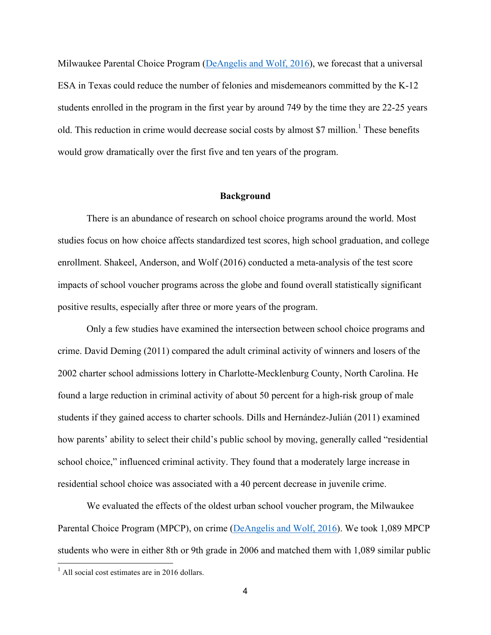Milwaukee Parental Choice Program (DeAngelis and Wolf, 2016), we forecast that a universal ESA in Texas could reduce the number of felonies and misdemeanors committed by the K-12 students enrolled in the program in the first year by around 749 by the time they are 22-25 years old. This reduction in crime would decrease social costs by almost \$7 million.<sup>1</sup> These benefits would grow dramatically over the first five and ten years of the program.

#### **Background**

There is an abundance of research on school choice programs around the world. Most studies focus on how choice affects standardized test scores, high school graduation, and college enrollment. Shakeel, Anderson, and Wolf (2016) conducted a meta-analysis of the test score impacts of school voucher programs across the globe and found overall statistically significant positive results, especially after three or more years of the program.

Only a few studies have examined the intersection between school choice programs and crime. David Deming (2011) compared the adult criminal activity of winners and losers of the 2002 charter school admissions lottery in Charlotte-Mecklenburg County, North Carolina. He found a large reduction in criminal activity of about 50 percent for a high-risk group of male students if they gained access to charter schools. Dills and Hernández-Julián (2011) examined how parents' ability to select their child's public school by moving, generally called "residential school choice," influenced criminal activity. They found that a moderately large increase in residential school choice was associated with a 40 percent decrease in juvenile crime.

We evaluated the effects of the oldest urban school voucher program, the Milwaukee Parental Choice Program (MPCP), on crime (DeAngelis and Wolf, 2016). We took 1,089 MPCP students who were in either 8th or 9th grade in 2006 and matched them with 1,089 similar public

 $<sup>1</sup>$  All social cost estimates are in 2016 dollars.</sup>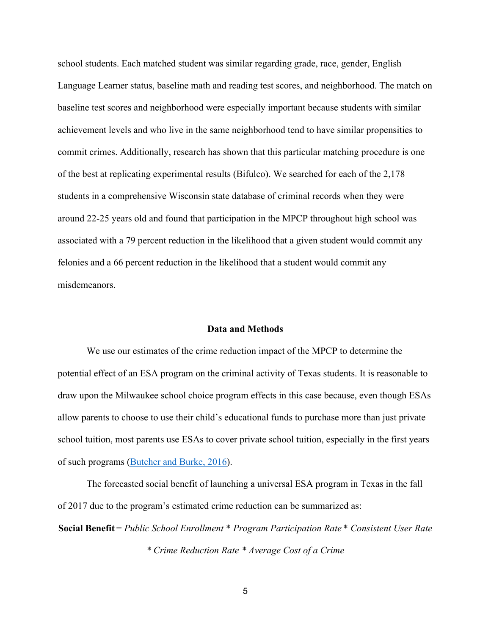school students. Each matched student was similar regarding grade, race, gender, English Language Learner status, baseline math and reading test scores, and neighborhood. The match on baseline test scores and neighborhood were especially important because students with similar achievement levels and who live in the same neighborhood tend to have similar propensities to commit crimes. Additionally, research has shown that this particular matching procedure is one of the best at replicating experimental results (Bifulco). We searched for each of the 2,178 students in a comprehensive Wisconsin state database of criminal records when they were around 22-25 years old and found that participation in the MPCP throughout high school was associated with a 79 percent reduction in the likelihood that a given student would commit any felonies and a 66 percent reduction in the likelihood that a student would commit any misdemeanors.

#### **Data and Methods**

We use our estimates of the crime reduction impact of the MPCP to determine the potential effect of an ESA program on the criminal activity of Texas students. It is reasonable to draw upon the Milwaukee school choice program effects in this case because, even though ESAs allow parents to choose to use their child's educational funds to purchase more than just private school tuition, most parents use ESAs to cover private school tuition, especially in the first years of such programs (Butcher and Burke, 2016).

The forecasted social benefit of launching a universal ESA program in Texas in the fall of 2017 due to the program's estimated crime reduction can be summarized as:

**Social Benefit** = *Public School Enrollment* \* *Program Participation Rate* \* *Consistent User Rate \* Crime Reduction Rate \* Average Cost of a Crime*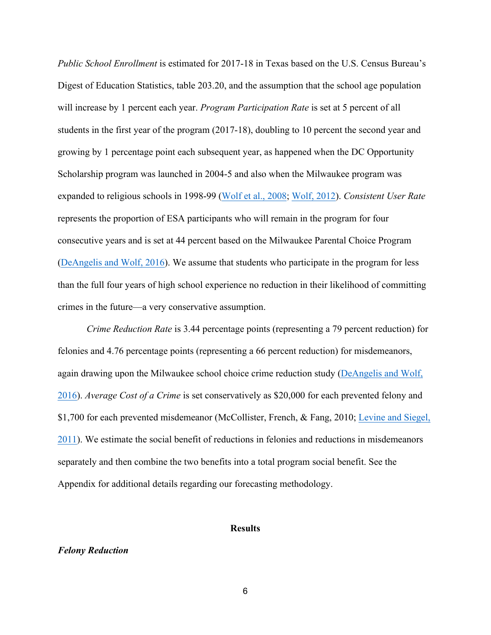*Public School Enrollment* is estimated for 2017-18 in Texas based on the U.S. Census Bureau's Digest of Education Statistics, table 203.20, and the assumption that the school age population will increase by 1 percent each year. *Program Participation Rate* is set at 5 percent of all students in the first year of the program (2017-18), doubling to 10 percent the second year and growing by 1 percentage point each subsequent year, as happened when the DC Opportunity Scholarship program was launched in 2004-5 and also when the Milwaukee program was expanded to religious schools in 1998-99 (Wolf et al., 2008; Wolf, 2012). *Consistent User Rate* represents the proportion of ESA participants who will remain in the program for four consecutive years and is set at 44 percent based on the Milwaukee Parental Choice Program (DeAngelis and Wolf, 2016). We assume that students who participate in the program for less than the full four years of high school experience no reduction in their likelihood of committing crimes in the future—a very conservative assumption.

*Crime Reduction Rate* is 3.44 percentage points (representing a 79 percent reduction) for felonies and 4.76 percentage points (representing a 66 percent reduction) for misdemeanors, again drawing upon the Milwaukee school choice crime reduction study (DeAngelis and Wolf, 2016). *Average Cost of a Crime* is set conservatively as \$20,000 for each prevented felony and \$1,700 for each prevented misdemeanor (McCollister, French, & Fang, 2010; Levine and Siegel, 2011). We estimate the social benefit of reductions in felonies and reductions in misdemeanors separately and then combine the two benefits into a total program social benefit. See the Appendix for additional details regarding our forecasting methodology.

#### **Results**

#### *Felony Reduction*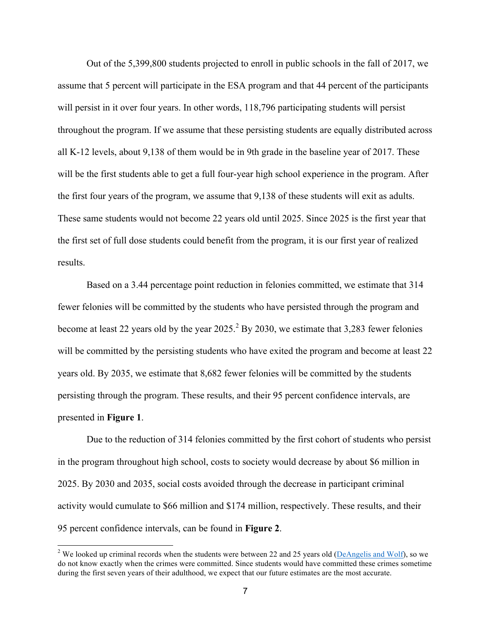Out of the 5,399,800 students projected to enroll in public schools in the fall of 2017, we assume that 5 percent will participate in the ESA program and that 44 percent of the participants will persist in it over four years. In other words, 118,796 participating students will persist throughout the program. If we assume that these persisting students are equally distributed across all K-12 levels, about 9,138 of them would be in 9th grade in the baseline year of 2017. These will be the first students able to get a full four-year high school experience in the program. After the first four years of the program, we assume that 9,138 of these students will exit as adults. These same students would not become 22 years old until 2025. Since 2025 is the first year that the first set of full dose students could benefit from the program, it is our first year of realized results.

Based on a 3.44 percentage point reduction in felonies committed, we estimate that 314 fewer felonies will be committed by the students who have persisted through the program and become at least 22 years old by the year  $2025.<sup>2</sup>$  By 2030, we estimate that 3,283 fewer felonies will be committed by the persisting students who have exited the program and become at least 22 years old. By 2035, we estimate that 8,682 fewer felonies will be committed by the students persisting through the program. These results, and their 95 percent confidence intervals, are presented in **Figure 1**.

Due to the reduction of 314 felonies committed by the first cohort of students who persist in the program throughout high school, costs to society would decrease by about \$6 million in 2025. By 2030 and 2035, social costs avoided through the decrease in participant criminal activity would cumulate to \$66 million and \$174 million, respectively. These results, and their 95 percent confidence intervals, can be found in **Figure 2**.

<sup>&</sup>lt;sup>2</sup> We looked up criminal records when the students were between 22 and 25 years old (DeAngelis and Wolf), so we do not know exactly when the crimes were committed. Since students would have committed these crimes sometime during the first seven years of their adulthood, we expect that our future estimates are the most accurate.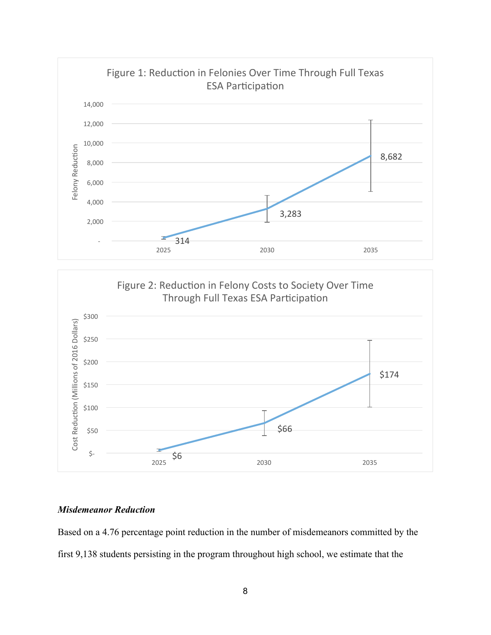

## *Misdemeanor Reduction*

Based on a 4.76 percentage point reduction in the number of misdemeanors committed by the first 9,138 students persisting in the program throughout high school, we estimate that the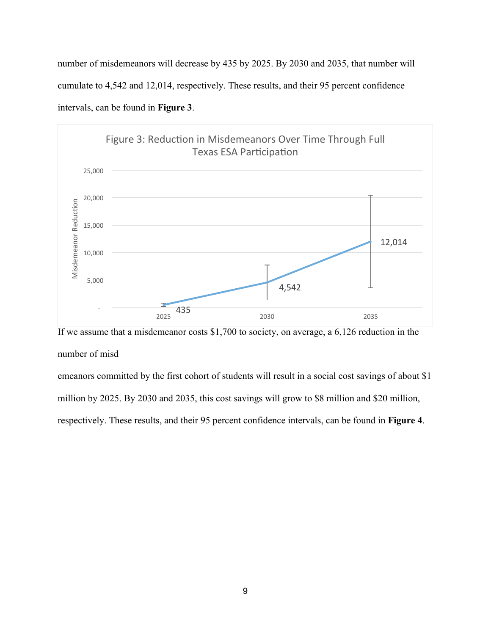number of misdemeanors will decrease by 435 by 2025. By 2030 and 2035, that number will cumulate to 4,542 and 12,014, respectively. These results, and their 95 percent confidence intervals, can be found in **Figure 3**.



If we assume that a misdemeanor costs \$1,700 to society, on average, a 6,126 reduction in the number of misd

emeanors committed by the first cohort of students will result in a social cost savings of about \$1 million by 2025. By 2030 and 2035, this cost savings will grow to \$8 million and \$20 million, respectively. These results, and their 95 percent confidence intervals, can be found in **Figure 4**.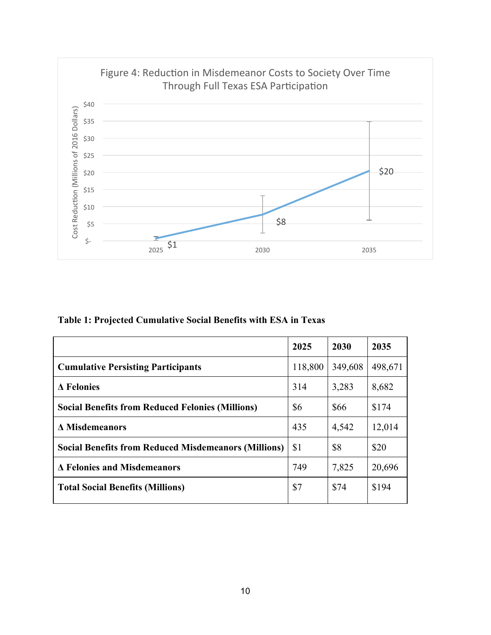

**Table 1: Projected Cumulative Social Benefits with ESA in Texas**

|                                                             | 2025    | 2030    | 2035    |
|-------------------------------------------------------------|---------|---------|---------|
| <b>Cumulative Persisting Participants</b>                   | 118,800 | 349,608 | 498,671 |
| $\Delta$ Felonies                                           | 314     | 3,283   | 8,682   |
| <b>Social Benefits from Reduced Felonies (Millions)</b>     | \$6     | \$66    | \$174   |
| <b>A Misdemeanors</b>                                       | 435     | 4,542   | 12,014  |
| <b>Social Benefits from Reduced Misdemeanors (Millions)</b> | \$1     | \$8     | \$20    |
| <b>A Felonies and Misdemeanors</b>                          | 749     | 7,825   | 20,696  |
| <b>Total Social Benefits (Millions)</b>                     | \$7     | \$74    | \$194   |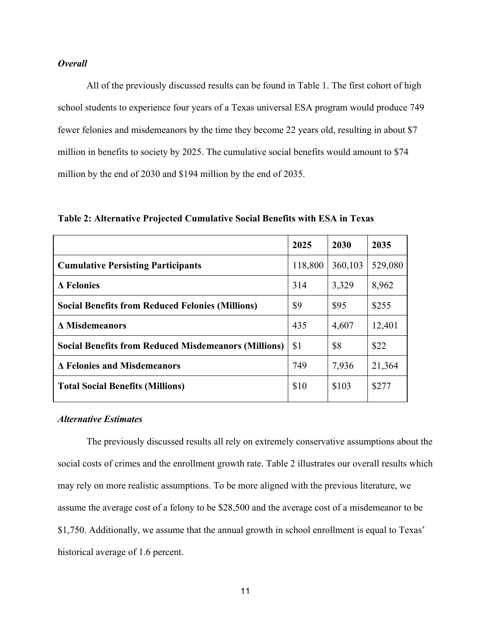## *Overall*

All of the previously discussed results can be found in Table 1. The first cohort of high school students to experience four years of a Texas universal ESA program would produce 749 fewer felonies and misdemeanors by the time they become 22 years old, resulting in about \$7 million in benefits to society by 2025. The cumulative social benefits would amount to \$74 million by the end of 2030 and \$194 million by the end of 2035.

**Table 2: Alternative Projected Cumulative Social Benefits with ESA in Texas**

|                                                             | 2025    | 2030    | 2035    |
|-------------------------------------------------------------|---------|---------|---------|
| <b>Cumulative Persisting Participants</b>                   | 118,800 | 360,103 | 529,080 |
| $\Delta$ Felonies                                           | 314     | 3,329   | 8,962   |
| <b>Social Benefits from Reduced Felonies (Millions)</b>     | \$9     | \$95    | \$255   |
| <b>A</b> Misdemeanors                                       | 435     | 4,607   | 12,401  |
| <b>Social Benefits from Reduced Misdemeanors (Millions)</b> | \$1     | \$8     | \$22    |
| Δ Felonies and Misdemeanors                                 | 749     | 7,936   | 21,364  |
| <b>Total Social Benefits (Millions)</b>                     | \$10    | \$103   | \$277   |
|                                                             |         |         |         |

## *Alternative Estimates*

The previously discussed results all rely on extremely conservative assumptions about the social costs of crimes and the enrollment growth rate. Table 2 illustrates our overall results which may rely on more realistic assumptions. To be more aligned with the previous literature, we assume the average cost of a felony to be \$28,500 and the average cost of a misdemeanor to be \$1,750. Additionally, we assume that the annual growth in school enrollment is equal to Texas' historical average of 1.6 percent.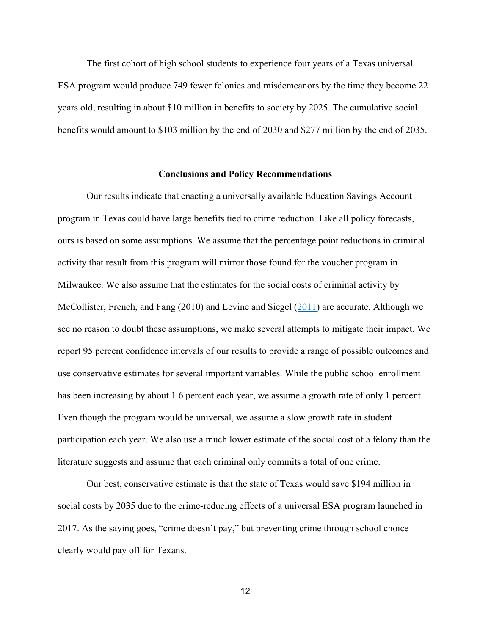The first cohort of high school students to experience four years of a Texas universal ESA program would produce 749 fewer felonies and misdemeanors by the time they become 22 years old, resulting in about \$10 million in benefits to society by 2025. The cumulative social benefits would amount to \$103 million by the end of 2030 and \$277 million by the end of 2035.

#### **Conclusions and Policy Recommendations**

Our results indicate that enacting a universally available Education Savings Account program in Texas could have large benefits tied to crime reduction. Like all policy forecasts, ours is based on some assumptions. We assume that the percentage point reductions in criminal activity that result from this program will mirror those found for the voucher program in Milwaukee. We also assume that the estimates for the social costs of criminal activity by McCollister, French, and Fang (2010) and Levine and Siegel (2011) are accurate. Although we see no reason to doubt these assumptions, we make several attempts to mitigate their impact. We report 95 percent confidence intervals of our results to provide a range of possible outcomes and use conservative estimates for several important variables. While the public school enrollment has been increasing by about 1.6 percent each year, we assume a growth rate of only 1 percent. Even though the program would be universal, we assume a slow growth rate in student participation each year. We also use a much lower estimate of the social cost of a felony than the literature suggests and assume that each criminal only commits a total of one crime.

Our best, conservative estimate is that the state of Texas would save \$194 million in social costs by 2035 due to the crime-reducing effects of a universal ESA program launched in 2017. As the saying goes, "crime doesn't pay," but preventing crime through school choice clearly would pay off for Texans.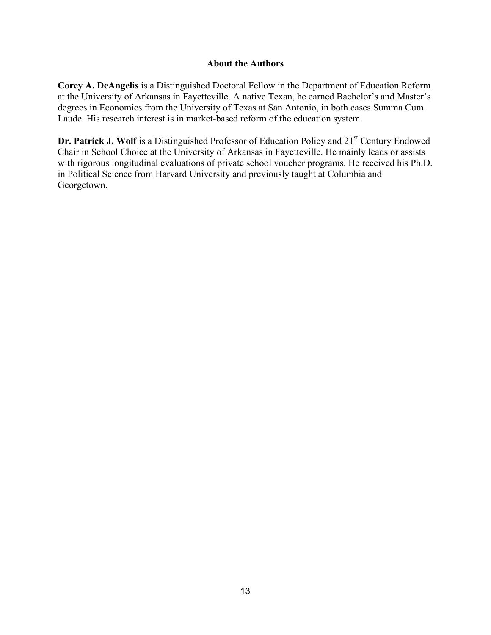## **About the Authors**

**Corey A. DeAngelis** is a Distinguished Doctoral Fellow in the Department of Education Reform at the University of Arkansas in Fayetteville. A native Texan, he earned Bachelor's and Master's degrees in Economics from the University of Texas at San Antonio, in both cases Summa Cum Laude. His research interest is in market-based reform of the education system.

**Dr. Patrick J. Wolf** is a Distinguished Professor of Education Policy and 21<sup>st</sup> Century Endowed Chair in School Choice at the University of Arkansas in Fayetteville. He mainly leads or assists with rigorous longitudinal evaluations of private school voucher programs. He received his Ph.D. in Political Science from Harvard University and previously taught at Columbia and Georgetown.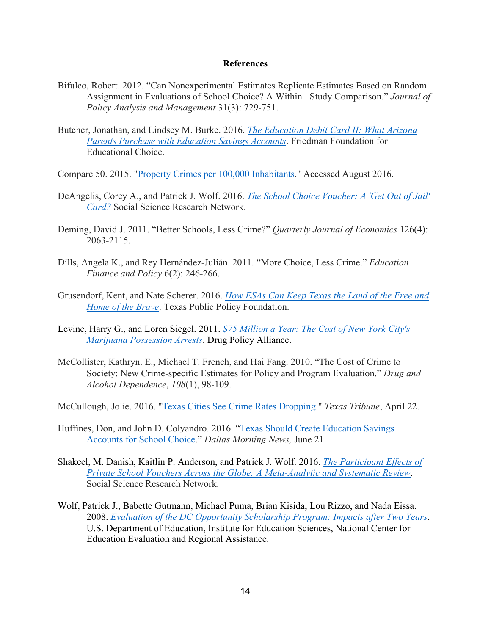#### **References**

- Bifulco, Robert. 2012. "Can Nonexperimental Estimates Replicate Estimates Based on Random Assignment in Evaluations of School Choice? A Within Study Comparison." *Journal of Policy Analysis and Management* 31(3): 729-751.
- Butcher, Jonathan, and Lindsey M. Burke. 2016. *The Education Debit Card II: What Arizona Parents Purchase with Education Savings Accounts*. Friedman Foundation for Educational Choice.
- Compare 50. 2015. "Property Crimes per 100,000 Inhabitants." Accessed August 2016.
- DeAngelis, Corey A., and Patrick J. Wolf. 2016. *The School Choice Voucher: A 'Get Out of Jail' Card?* Social Science Research Network.
- Deming, David J. 2011. "Better Schools, Less Crime?" *Quarterly Journal of Economics* 126(4): 2063-2115.
- Dills, Angela K., and Rey Hernández-Julián. 2011. "More Choice, Less Crime." *Education Finance and Policy* 6(2): 246-266.
- Grusendorf, Kent, and Nate Scherer. 2016. *How ESAs Can Keep Texas the Land of the Free and Home of the Brave*. Texas Public Policy Foundation.
- Levine, Harry G., and Loren Siegel. 2011. *\$75 Million a Year: The Cost of New York City's Marijuana Possession Arrests*. Drug Policy Alliance.
- McCollister, Kathryn. E., Michael T. French, and Hai Fang. 2010. "The Cost of Crime to Society: New Crime-specific Estimates for Policy and Program Evaluation." *Drug and Alcohol Dependence*, *108*(1), 98-109.
- McCullough, Jolie. 2016. "Texas Cities See Crime Rates Dropping." *Texas Tribune*, April 22.
- Huffines, Don, and John D. Colyandro. 2016. "Texas Should Create Education Savings Accounts for School Choice." *Dallas Morning News,* June 21.
- Shakeel, M. Danish, Kaitlin P. Anderson, and Patrick J. Wolf. 2016. *The Participant Effects of Private School Vouchers Across the Globe: A Meta-Analytic and Systematic Review*. Social Science Research Network.
- Wolf, Patrick J., Babette Gutmann, Michael Puma, Brian Kisida, Lou Rizzo, and Nada Eissa. 2008. *Evaluation of the DC Opportunity Scholarship Program: Impacts after Two Years*. U.S. Department of Education, Institute for Education Sciences, National Center for Education Evaluation and Regional Assistance.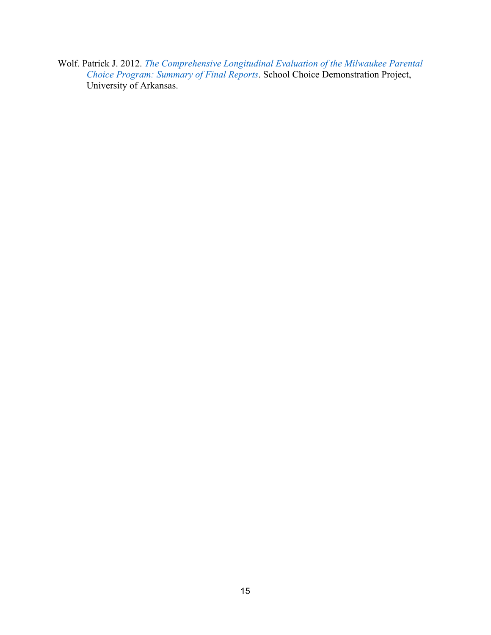Wolf. Patrick J. 2012. *The Comprehensive Longitudinal Evaluation of the Milwaukee Parental Choice Program: Summary of Final Reports*. School Choice Demonstration Project, University of Arkansas.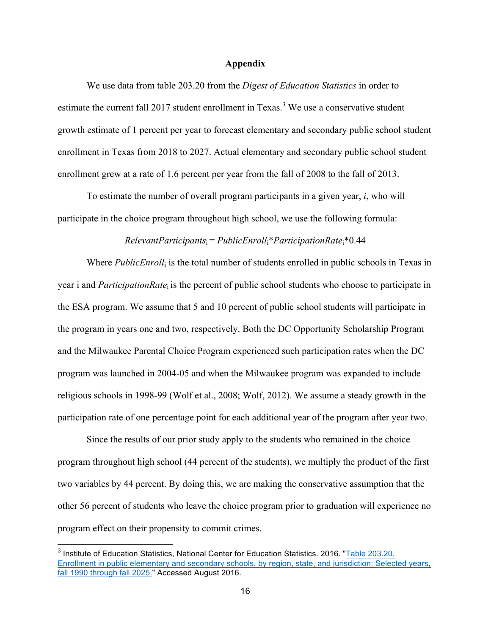#### **Appendix**

We use data from table 203.20 from the *Digest of Education Statistics* in order to estimate the current fall 2017 student enrollment in Texas.<sup>3</sup> We use a conservative student growth estimate of 1 percent per year to forecast elementary and secondary public school student enrollment in Texas from 2018 to 2027. Actual elementary and secondary public school student enrollment grew at a rate of 1.6 percent per year from the fall of 2008 to the fall of 2013.

To estimate the number of overall program participants in a given year, *i*, who will participate in the choice program throughout high school, we use the following formula:

#### *RelevantParticipants*i = *PublicEnroll*i\**ParticipationRate*i\*0.44

Where *PublicEnroll*<sup>i</sup> is the total number of students enrolled in public schools in Texas in year i and *ParticipationRate*i is the percent of public school students who choose to participate in the ESA program. We assume that 5 and 10 percent of public school students will participate in the program in years one and two, respectively. Both the DC Opportunity Scholarship Program and the Milwaukee Parental Choice Program experienced such participation rates when the DC program was launched in 2004-05 and when the Milwaukee program was expanded to include religious schools in 1998-99 (Wolf et al., 2008; Wolf, 2012). We assume a steady growth in the participation rate of one percentage point for each additional year of the program after year two.

Since the results of our prior study apply to the students who remained in the choice program throughout high school (44 percent of the students), we multiply the product of the first two variables by 44 percent. By doing this, we are making the conservative assumption that the other 56 percent of students who leave the choice program prior to graduation will experience no program effect on their propensity to commit crimes.

<sup>&</sup>lt;sup>3</sup> Institute of Education Statistics, National Center for Education Statistics. 2016. "Table 203.20. Enrollment in public elementary and secondary schools, by region, state, and jurisdiction: Selected years, fall 1990 through fall 2025." Accessed August 2016.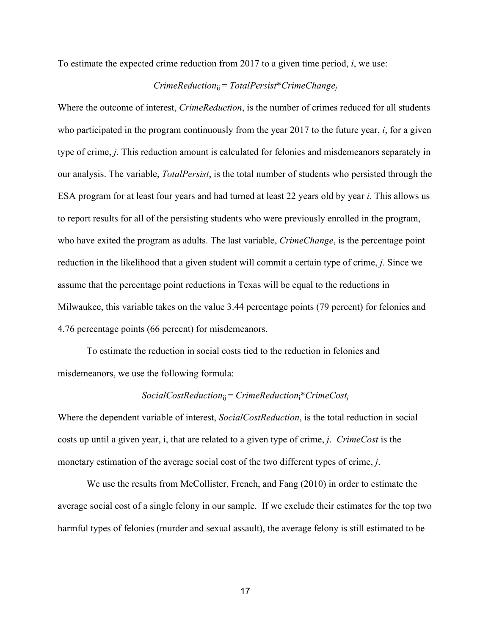To estimate the expected crime reduction from 2017 to a given time period, *i*, we use:

## *CrimeReduction*ij = *TotalPersist*\**CrimeChangej*

Where the outcome of interest, *CrimeReduction*, is the number of crimes reduced for all students who participated in the program continuously from the year 2017 to the future year, *i*, for a given type of crime, *j*. This reduction amount is calculated for felonies and misdemeanors separately in our analysis. The variable, *TotalPersist*, is the total number of students who persisted through the ESA program for at least four years and had turned at least 22 years old by year *i*. This allows us to report results for all of the persisting students who were previously enrolled in the program, who have exited the program as adults. The last variable, *CrimeChange*, is the percentage point reduction in the likelihood that a given student will commit a certain type of crime, *j*. Since we assume that the percentage point reductions in Texas will be equal to the reductions in Milwaukee, this variable takes on the value 3.44 percentage points (79 percent) for felonies and 4.76 percentage points (66 percent) for misdemeanors.

To estimate the reduction in social costs tied to the reduction in felonies and misdemeanors, we use the following formula:

#### *SocialCostReduction*ij = *CrimeReduction*i\**CrimeCostj*

Where the dependent variable of interest, *SocialCostReduction*, is the total reduction in social costs up until a given year, i, that are related to a given type of crime, *j*. *CrimeCost* is the monetary estimation of the average social cost of the two different types of crime, *j*.

We use the results from McCollister, French, and Fang (2010) in order to estimate the average social cost of a single felony in our sample. If we exclude their estimates for the top two harmful types of felonies (murder and sexual assault), the average felony is still estimated to be